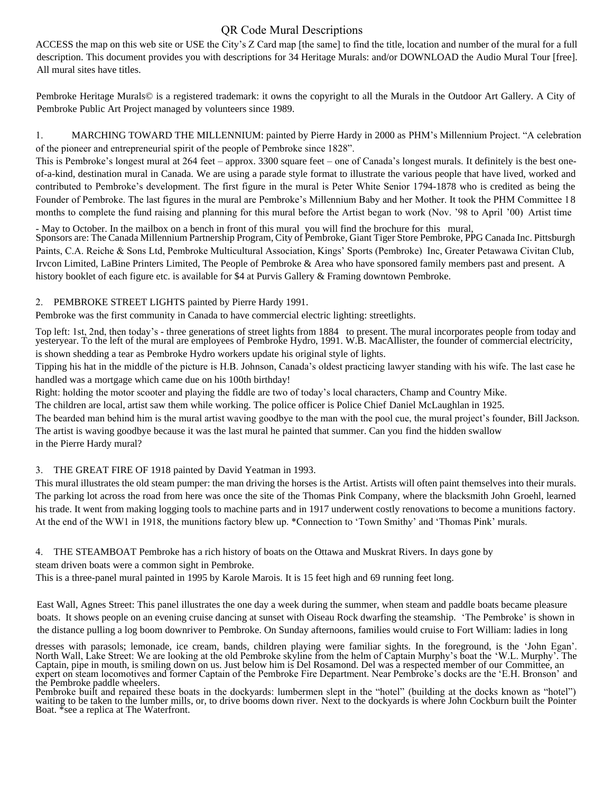# QR Code Mural Descriptions

ACCESS the map on this web site or USE the City's Z Card map [the same] to find the title, location and number of the mural for a full description. This document provides you with descriptions for 34 Heritage Murals: and/or DOWNLOAD the Audio Mural Tour [free]. All mural sites have titles.

Pembroke Heritage Murals© is a registered trademark: it owns the copyright to all the Murals in the Outdoor Art Gallery. A City of Pembroke Public Art Project managed by volunteers since 1989.

1. MARCHING TOWARD THE MILLENNIUM: painted by Pierre Hardy in 2000 as PHM's Millennium Project. "A celebration of the pioneer and entrepreneurial spirit of the people of Pembroke since 1828".

This is Pembroke's longest mural at 264 feet – approx. 3300 square feet – one of Canada's longest murals. It definitely is the best oneof-a-kind, destination mural in Canada. We are using a parade style format to illustrate the various people that have lived, worked and contributed to Pembroke's development. The first figure in the mural is Peter White Senior 1794-1878 who is credited as being the Founder of Pembroke. The last figures in the mural are Pembroke's Millennium Baby and her Mother. It took the PHM Committee 18 months to complete the fund raising and planning for this mural before the Artist began to work (Nov. '98 to April '00) Artist time

- May to October. In the mailbox on a bench in front of this mural you will find the brochure for this mural, Sponsors are: The Canada Millennium Partnership Program, City of Pembroke, Giant Tiger Store Pembroke, PPG Canada Inc. Pittsburgh Paints, C.A. Reiche & Sons Ltd, Pembroke Multicultural Association, Kings' Sports (Pembroke) Inc, Greater Petawawa Civitan Club, Irvcon Limited, LaBine Printers Limited, The People of Pembroke & Area who have sponsored family members past and present. A history booklet of each figure etc. is available for \$4 at Purvis Gallery & Framing downtown Pembroke.

# 2. PEMBROKE STREET LIGHTS painted by Pierre Hardy 1991.

Pembroke was the first community in Canada to have commercial electric lighting: streetlights.

Top left: 1st, 2nd, then today's - three generations of street lights from 1884 to present. The mural incorporates people from today and yesteryear. To the left of the mural are employees of Pembroke Hydro, 1991. W.B. MacAllister, the founder of commercial electricity, is shown shedding a tear as Pembroke Hydro workers update his original style of lights.

Tipping his hat in the middle of the picture is H.B. Johnson, Canada's oldest practicing lawyer standing with his wife. The last case he handled was a mortgage which came due on his 100th birthday!

Right: holding the motor scooter and playing the fiddle are two of today's local characters, Champ and Country Mike.

The children are local, artist saw them while working. The police officer is Police Chief Daniel McLaughlan in 1925.

The bearded man behind him is the mural artist waving goodbye to the man with the pool cue, the mural project's founder, Bill Jackson. The artist is waving goodbye because it was the last mural he painted that summer. Can you find the hidden swallow in the Pierre Hardy mural?

# 3. THE GREAT FIRE OF 1918 painted by David Yeatman in 1993.

This mural illustrates the old steam pumper: the man driving the horses is the Artist. Artists will often paint themselves into their murals. The parking lot across the road from here was once the site of the Thomas Pink Company, where the blacksmith John Groehl, learned his trade. It went from making logging tools to machine parts and in 1917 underwent costly renovations to become a munitions factory. At the end of the WW1 in 1918, the munitions factory blew up. \*Connection to 'Town Smithy' and 'Thomas Pink' murals.

4. THE STEAMBOAT Pembroke has a rich history of boats on the Ottawa and Muskrat Rivers. In days gone by steam driven boats were a common sight in Pembroke.

This is a three-panel mural painted in 1995 by Karole Marois. It is 15 feet high and 69 running feet long.

East Wall, Agnes Street: This panel illustrates the one day a week during the summer, when steam and paddle boats became pleasure boats. It shows people on an evening cruise dancing at sunset with Oiseau Rock dwarfing the steamship. 'The Pembroke' is shown in the distance pulling a log boom downriver to Pembroke. On Sunday afternoons, families would cruise to Fort William: ladies in long

dresses with parasols; lemonade, ice cream, bands, children playing were familiar sights. In the foreground, is the 'John Egan'. North Wall, Lake Street: We are looking at the old Pembroke skyline from the helm of Captain Murphy's boat the 'W.L. Murphy'. The Captain, pipe in mouth, is smiling down on us. Just below him is Del Rosamond. Del was a respected member of our Committee, an expert on steam locomotives and former Captain of the Pembroke Fire Department. Near Pembroke's docks are the 'E.H. Bronson' and the Pembroke paddle wheelers.

Pembroke built and repaired these boats in the dockyards: lumbermen slept in the "hotel" (building at the docks known as "hotel") waiting to be taken to the lumber mills, or, to drive booms down river. Next to the dockyards is where John Cockburn built the Pointer Boat. \*see a replica at The Waterfront.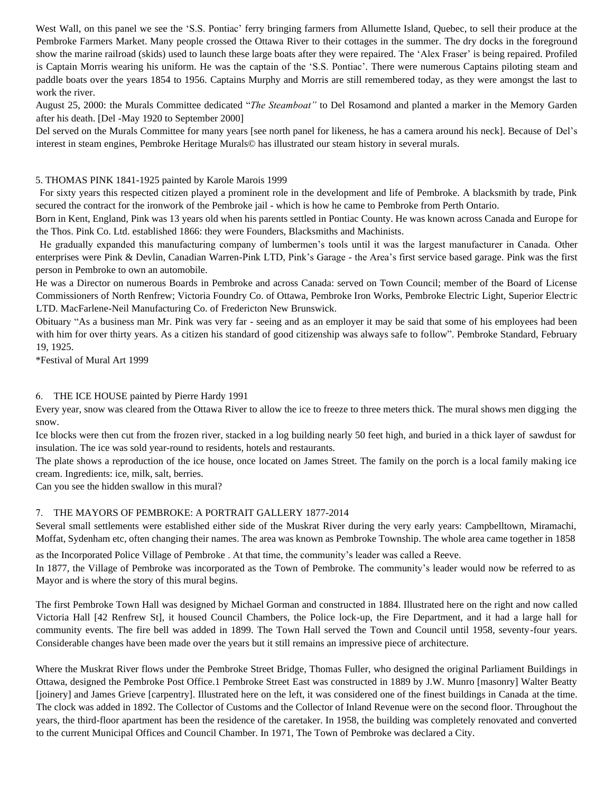West Wall, on this panel we see the 'S.S. Pontiac' ferry bringing farmers from Allumette Island, Quebec, to sell their produce at the Pembroke Farmers Market. Many people crossed the Ottawa River to their cottages in the summer. The dry docks in the foreground show the marine railroad (skids) used to launch these large boats after they were repaired. The 'Alex Fraser' is being repaired. Profiled is Captain Morris wearing his uniform. He was the captain of the 'S.S. Pontiac'. There were numerous Captains piloting steam and paddle boats over the years 1854 to 1956. Captains Murphy and Morris are still remembered today, as they were amongst the last to work the river.

August 25, 2000: the Murals Committee dedicated "*The Steamboat"* to Del Rosamond and planted a marker in the Memory Garden after his death. [Del -May 1920 to September 2000]

Del served on the Murals Committee for many years [see north panel for likeness, he has a camera around his neck]. Because of Del's interest in steam engines, Pembroke Heritage Murals© has illustrated our steam history in several murals.

#### 5. THOMAS PINK 1841-1925 painted by Karole Marois 1999

For sixty years this respected citizen played a prominent role in the development and life of Pembroke. A blacksmith by trade, Pink secured the contract for the ironwork of the Pembroke jail - which is how he came to Pembroke from Perth Ontario.

Born in Kent, England, Pink was 13 years old when his parents settled in Pontiac County. He was known across Canada and Europe for the Thos. Pink Co. Ltd. established 1866: they were Founders, Blacksmiths and Machinists.

He gradually expanded this manufacturing company of lumbermen's tools until it was the largest manufacturer in Canada. Other enterprises were Pink & Devlin, Canadian Warren-Pink LTD, Pink's Garage - the Area's first service based garage. Pink was the first person in Pembroke to own an automobile.

He was a Director on numerous Boards in Pembroke and across Canada: served on Town Council; member of the Board of License Commissioners of North Renfrew; Victoria Foundry Co. of Ottawa, Pembroke Iron Works, Pembroke Electric Light, Superior Electric LTD. MacFarlene-Neil Manufacturing Co. of Fredericton New Brunswick.

Obituary "As a business man Mr. Pink was very far - seeing and as an employer it may be said that some of his employees had been with him for over thirty years. As a citizen his standard of good citizenship was always safe to follow". Pembroke Standard, February 19, 1925.

\*Festival of Mural Art 1999

#### 6. THE ICE HOUSE painted by Pierre Hardy 1991

Every year, snow was cleared from the Ottawa River to allow the ice to freeze to three meters thick. The mural shows men digging the snow.

Ice blocks were then cut from the frozen river, stacked in a log building nearly 50 feet high, and buried in a thick layer of sawdust for insulation. The ice was sold year-round to residents, hotels and restaurants.

The plate shows a reproduction of the ice house, once located on James Street. The family on the porch is a local family making ice cream. Ingredients: ice, milk, salt, berries.

Can you see the hidden swallow in this mural?

# 7. THE MAYORS OF PEMBROKE: A PORTRAIT GALLERY 1877-2014

Several small settlements were established either side of the Muskrat River during the very early years: Campbelltown, Miramachi, Moffat, Sydenham etc, often changing their names. The area was known as Pembroke Township. The whole area came together in 1858

as the Incorporated Police Village of Pembroke . At that time, the community's leader was called a Reeve.

In 1877, the Village of Pembroke was incorporated as the Town of Pembroke. The community's leader would now be referred to as Mayor and is where the story of this mural begins.

The first Pembroke Town Hall was designed by Michael Gorman and constructed in 1884. Illustrated here on the right and now called Victoria Hall [42 Renfrew St], it housed Council Chambers, the Police lock-up, the Fire Department, and it had a large hall for community events. The fire bell was added in 1899. The Town Hall served the Town and Council until 1958, seventy-four years. Considerable changes have been made over the years but it still remains an impressive piece of architecture.

Where the Muskrat River flows under the Pembroke Street Bridge, Thomas Fuller, who designed the original Parliament Buildings in Ottawa, designed the Pembroke Post Office.1 Pembroke Street East was constructed in 1889 by J.W. Munro [masonry] Walter Beatty [joinery] and James Grieve [carpentry]. Illustrated here on the left, it was considered one of the finest buildings in Canada at the time. The clock was added in 1892. The Collector of Customs and the Collector of Inland Revenue were on the second floor. Throughout the years, the third-floor apartment has been the residence of the caretaker. In 1958, the building was completely renovated and converted to the current Municipal Offices and Council Chamber. In 1971, The Town of Pembroke was declared a City.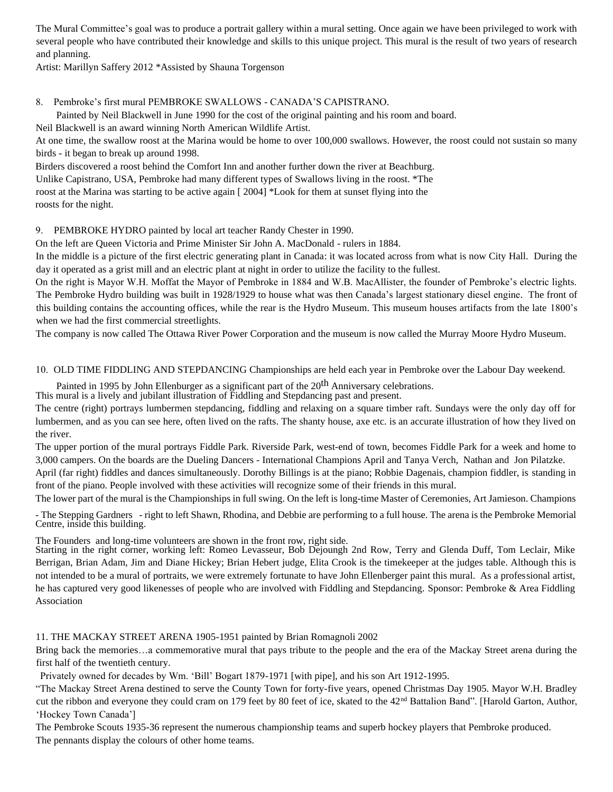The Mural Committee's goal was to produce a portrait gallery within a mural setting. Once again we have been privileged to work with several people who have contributed their knowledge and skills to this unique project. This mural is the result of two years of research and planning.

Artist: Marillyn Saffery 2012 \*Assisted by Shauna Torgenson

#### 8. Pembroke's first mural PEMBROKE SWALLOWS - CANADA'S CAPISTRANO.

Painted by Neil Blackwell in June 1990 for the cost of the original painting and his room and board.

Neil Blackwell is an award winning North American Wildlife Artist.

At one time, the swallow roost at the Marina would be home to over 100,000 swallows. However, the roost could not sustain so many birds - it began to break up around 1998.

Birders discovered a roost behind the Comfort Inn and another further down the river at Beachburg. Unlike Capistrano, USA, Pembroke had many different types of Swallows living in the roost. \*The roost at the Marina was starting to be active again [ 2004] \*Look for them at sunset flying into the roosts for the night.

9. PEMBROKE HYDRO painted by local art teacher Randy Chester in 1990.

On the left are Queen Victoria and Prime Minister Sir John A. MacDonald - rulers in 1884.

In the middle is a picture of the first electric generating plant in Canada: it was located across from what is now City Hall. During the day it operated as a grist mill and an electric plant at night in order to utilize the facility to the fullest.

On the right is Mayor W.H. Moffat the Mayor of Pembroke in 1884 and W.B. MacAllister, the founder of Pembroke's electric lights. The Pembroke Hydro building was built in 1928/1929 to house what was then Canada's largest stationary diesel engine. The front of this building contains the accounting offices, while the rear is the Hydro Museum. This museum houses artifacts from the late 1800's when we had the first commercial streetlights.

The company is now called The Ottawa River Power Corporation and the museum is now called the Murray Moore Hydro Museum.

10. OLD TIME FIDDLING AND STEPDANCING Championships are held each year in Pembroke over the Labour Day weekend.

Painted in 1995 by John Ellenburger as a significant part of the 20<sup>th</sup> Anniversary celebrations.

This mural is a lively and jubilant illustration of Fiddling and Stepdancing past and present.

The centre (right) portrays lumbermen stepdancing, fiddling and relaxing on a square timber raft. Sundays were the only day off for lumbermen, and as you can see here, often lived on the rafts. The shanty house, axe etc. is an accurate illustration of how they lived on the river.

The upper portion of the mural portrays Fiddle Park. Riverside Park, west-end of town, becomes Fiddle Park for a week and home to 3,000 campers. On the boards are the Dueling Dancers - International Champions April and Tanya Verch, Nathan and Jon Pilatzke. April (far right) fiddles and dances simultaneously. Dorothy Billings is at the piano; Robbie Dagenais, champion fiddler, is standing in front of the piano. People involved with these activities will recognize some of their friends in this mural.

The lower part of the mural is the Championships in full swing. On the left is long-time Master of Ceremonies, Art Jamieson. Champions

- The Stepping Gardners - right to left Shawn, Rhodina, and Debbie are performing to a full house. The arena is the Pembroke Memorial Centre, inside this building.

The Founders and long-time volunteers are shown in the front row, right side.

Starting in the right corner, working left: Romeo Levasseur, Bob Dejoungh 2nd Row, Terry and Glenda Duff, Tom Leclair, Mike Berrigan, Brian Adam, Jim and Diane Hickey; Brian Hebert judge, Elita Crook is the timekeeper at the judges table. Although this is not intended to be a mural of portraits, we were extremely fortunate to have John Ellenberger paint this mural. As a professional artist, he has captured very good likenesses of people who are involved with Fiddling and Stepdancing. Sponsor: Pembroke & Area Fiddling Association

# 11. THE MACKAY STREET ARENA 1905-1951 painted by Brian Romagnoli 2002

Bring back the memories…a commemorative mural that pays tribute to the people and the era of the Mackay Street arena during the first half of the twentieth century.

Privately owned for decades by Wm. 'Bill' Bogart 1879-1971 [with pipe], and his son Art 1912-1995.

"The Mackay Street Arena destined to serve the County Town for forty-five years, opened Christmas Day 1905. Mayor W.H. Bradley cut the ribbon and everyone they could cram on 179 feet by 80 feet of ice, skated to the 42<sup>nd</sup> Battalion Band". [Harold Garton, Author, 'Hockey Town Canada']

The Pembroke Scouts 1935-36 represent the numerous championship teams and superb hockey players that Pembroke produced. The pennants display the colours of other home teams.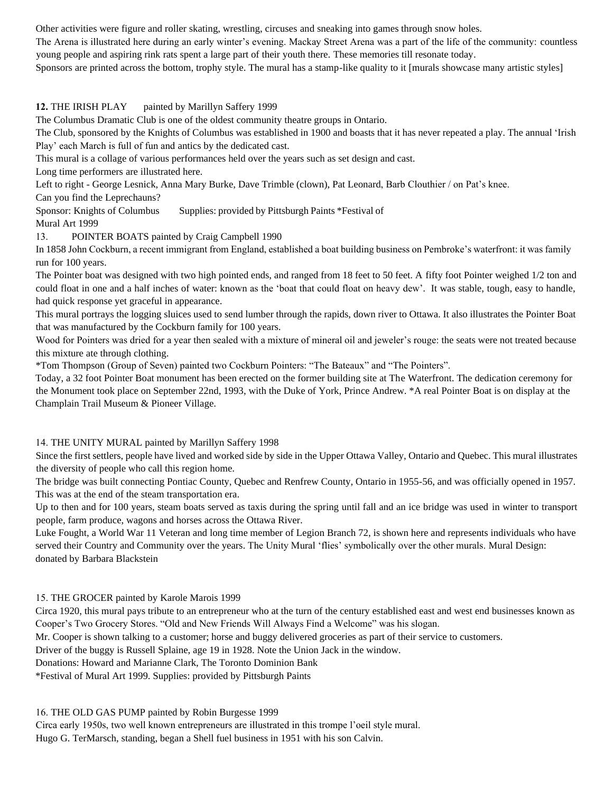Other activities were figure and roller skating, wrestling, circuses and sneaking into games through snow holes.

The Arena is illustrated here during an early winter's evening. Mackay Street Arena was a part of the life of the community: countless young people and aspiring rink rats spent a large part of their youth there. These memories till resonate today.

Sponsors are printed across the bottom, trophy style. The mural has a stamp-like quality to it [murals showcase many artistic styles]

**12.** THE IRISH PLAY painted by Marillyn Saffery 1999

The Columbus Dramatic Club is one of the oldest community theatre groups in Ontario.

The Club, sponsored by the Knights of Columbus was established in 1900 and boasts that it has never repeated a play. The annual 'Irish Play' each March is full of fun and antics by the dedicated cast.

This mural is a collage of various performances held over the years such as set design and cast.

Long time performers are illustrated here.

Left to right - George Lesnick, Anna Mary Burke, Dave Trimble (clown), Pat Leonard, Barb Clouthier / on Pat's knee.

Can you find the Leprechauns?

Sponsor: Knights of Columbus Supplies: provided by Pittsburgh Paints \*Festival of Mural Art 1999

13. POINTER BOATS painted by Craig Campbell 1990

In 1858 John Cockburn, a recent immigrant from England, established a boat building business on Pembroke's waterfront: it was family run for 100 years.

The Pointer boat was designed with two high pointed ends, and ranged from 18 feet to 50 feet. A fifty foot Pointer weighed 1/2 ton and could float in one and a half inches of water: known as the 'boat that could float on heavy dew'. It was stable, tough, easy to handle, had quick response yet graceful in appearance.

This mural portrays the logging sluices used to send lumber through the rapids, down river to Ottawa. It also illustrates the Pointer Boat that was manufactured by the Cockburn family for 100 years.

Wood for Pointers was dried for a year then sealed with a mixture of mineral oil and jeweler's rouge: the seats were not treated because this mixture ate through clothing.

\*Tom Thompson (Group of Seven) painted two Cockburn Pointers: "The Bateaux" and "The Pointers".

Today, a 32 foot Pointer Boat monument has been erected on the former building site at The Waterfront. The dedication ceremony for the Monument took place on September 22nd, 1993, with the Duke of York, Prince Andrew. \*A real Pointer Boat is on display at the Champlain Trail Museum & Pioneer Village.

# 14. THE UNITY MURAL painted by Marillyn Saffery 1998

Since the first settlers, people have lived and worked side by side in the Upper Ottawa Valley, Ontario and Quebec. This mural illustrates the diversity of people who call this region home.

The bridge was built connecting Pontiac County, Quebec and Renfrew County, Ontario in 1955-56, and was officially opened in 1957. This was at the end of the steam transportation era.

Up to then and for 100 years, steam boats served as taxis during the spring until fall and an ice bridge was used in winter to transport people, farm produce, wagons and horses across the Ottawa River.

Luke Fought, a World War 11 Veteran and long time member of Legion Branch 72, is shown here and represents individuals who have served their Country and Community over the years. The Unity Mural 'flies' symbolically over the other murals. Mural Design: donated by Barbara Blackstein

15. THE GROCER painted by Karole Marois 1999

Circa 1920, this mural pays tribute to an entrepreneur who at the turn of the century established east and west end businesses known as Cooper's Two Grocery Stores. "Old and New Friends Will Always Find a Welcome" was his slogan.

Mr. Cooper is shown talking to a customer; horse and buggy delivered groceries as part of their service to customers.

Driver of the buggy is Russell Splaine, age 19 in 1928. Note the Union Jack in the window.

Donations: Howard and Marianne Clark, The Toronto Dominion Bank

\*Festival of Mural Art 1999. Supplies: provided by Pittsburgh Paints

16. THE OLD GAS PUMP painted by Robin Burgesse 1999

Circa early 1950s, two well known entrepreneurs are illustrated in this trompe l'oeil style mural.

Hugo G. TerMarsch, standing, began a Shell fuel business in 1951 with his son Calvin.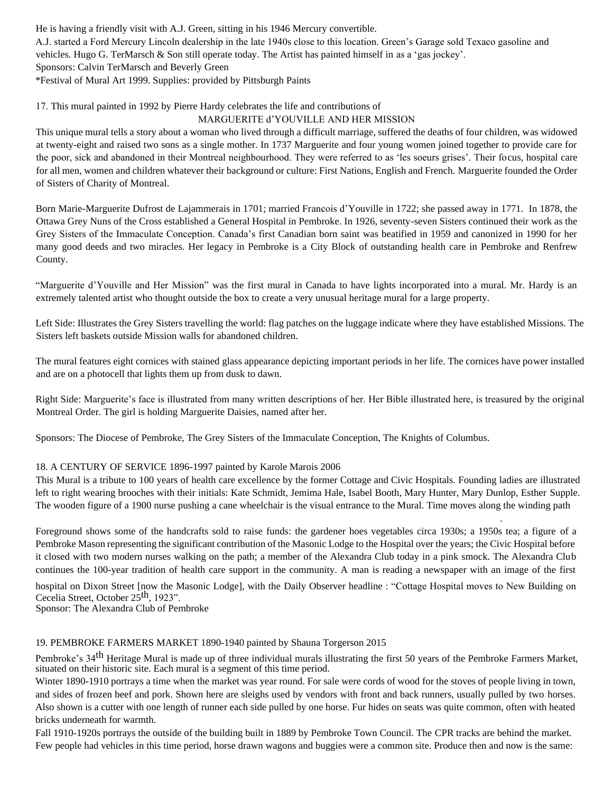He is having a friendly visit with A.J. Green, sitting in his 1946 Mercury convertible. A.J. started a Ford Mercury Lincoln dealership in the late 1940s close to this location. Green's Garage sold Texaco gasoline and vehicles. Hugo G. TerMarsch & Son still operate today. The Artist has painted himself in as a 'gas jockey'. Sponsors: Calvin TerMarsch and Beverly Green \*Festival of Mural Art 1999. Supplies: provided by Pittsburgh Paints

# 17. This mural painted in 1992 by Pierre Hardy celebrates the life and contributions of

# MARGUERITE d'YOUVILLE AND HER MISSION

This unique mural tells a story about a woman who lived through a difficult marriage, suffered the deaths of four children, was widowed at twenty-eight and raised two sons as a single mother. In 1737 Marguerite and four young women joined together to provide care for the poor, sick and abandoned in their Montreal neighbourhood. They were referred to as 'les soeurs grises'. Their focus, hospital care for all men, women and children whatever their background or culture: First Nations, English and French. Marguerite founded the Order of Sisters of Charity of Montreal.

Born Marie-Marguerite Dufrost de Lajammerais in 1701; married Francois d'Youville in 1722; she passed away in 1771. In 1878, the Ottawa Grey Nuns of the Cross established a General Hospital in Pembroke. In 1926, seventy-seven Sisters continued their work as the Grey Sisters of the Immaculate Conception. Canada's first Canadian born saint was beatified in 1959 and canonized in 1990 for her many good deeds and two miracles. Her legacy in Pembroke is a City Block of outstanding health care in Pembroke and Renfrew County.

"Marguerite d'Youville and Her Mission" was the first mural in Canada to have lights incorporated into a mural. Mr. Hardy is an extremely talented artist who thought outside the box to create a very unusual heritage mural for a large property.

Left Side: Illustrates the Grey Sisters travelling the world: flag patches on the luggage indicate where they have established Missions. The Sisters left baskets outside Mission walls for abandoned children.

The mural features eight cornices with stained glass appearance depicting important periods in her life. The cornices have power installed and are on a photocell that lights them up from dusk to dawn.

Right Side: Marguerite's face is illustrated from many written descriptions of her. Her Bible illustrated here, is treasured by the original Montreal Order. The girl is holding Marguerite Daisies, named after her.

Sponsors: The Diocese of Pembroke, The Grey Sisters of the Immaculate Conception, The Knights of Columbus.

# 18. A CENTURY OF SERVICE 1896-1997 painted by Karole Marois 2006

This Mural is a tribute to 100 years of health care excellence by the former Cottage and Civic Hospitals. Founding ladies are illustrated left to right wearing brooches with their initials: Kate Schmidt, Jemima Hale, Isabel Booth, Mary Hunter, Mary Dunlop, Esther Supple. The wooden figure of a 1900 nurse pushing a cane wheelchair is the visual entrance to the Mural. Time moves along the winding path

.

Foreground shows some of the handcrafts sold to raise funds: the gardener hoes vegetables circa 1930s; a 1950s tea; a figure of a Pembroke Mason representing the significant contribution of the Masonic Lodge to the Hospital over the years; the Civic Hospital before it closed with two modern nurses walking on the path; a member of the Alexandra Club today in a pink smock. The Alexandra Club continues the 100-year tradition of health care support in the community. A man is reading a newspaper with an image of the first

hospital on Dixon Street [now the Masonic Lodge], with the Daily Observer headline : "Cottage Hospital moves to New Building on Cecelia Street, October 25<sup>th</sup>, 1923".

Sponsor: The Alexandra Club of Pembroke

# 19. PEMBROKE FARMERS MARKET 1890-1940 painted by Shauna Torgerson 2015

Pembroke's 34<sup>th</sup> Heritage Mural is made up of three individual murals illustrating the first 50 years of the Pembroke Farmers Market, situated on their historic site. Each mural is a segment of this time period.

Winter 1890-1910 portrays a time when the market was year round. For sale were cords of wood for the stoves of people living in town, and sides of frozen beef and pork. Shown here are sleighs used by vendors with front and back runners, usually pulled by two horses. Also shown is a cutter with one length of runner each side pulled by one horse. Fur hides on seats was quite common, often with heated bricks underneath for warmth.

Fall 1910-1920s portrays the outside of the building built in 1889 by Pembroke Town Council. The CPR tracks are behind the market. Few people had vehicles in this time period, horse drawn wagons and buggies were a common site. Produce then and now is the same: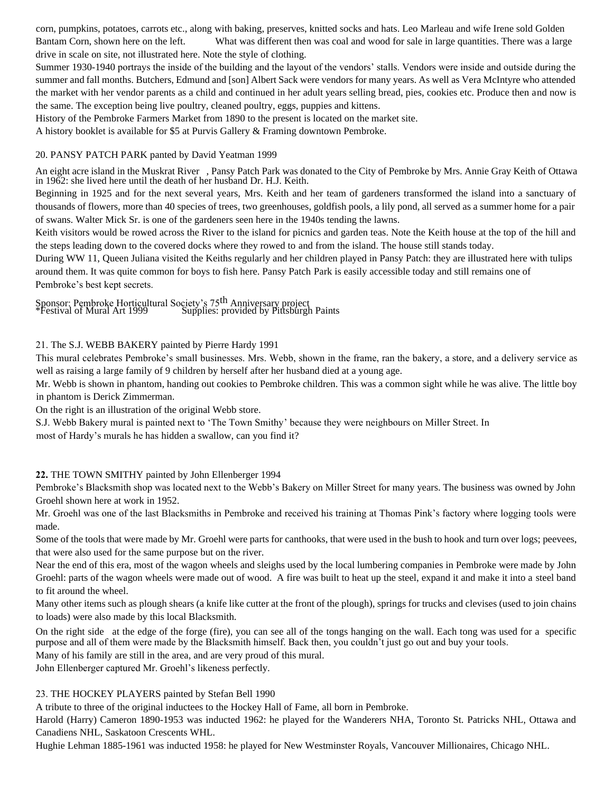corn, pumpkins, potatoes, carrots etc., along with baking, preserves, knitted socks and hats. Leo Marleau and wife Irene sold Golden Bantam Corn, shown here on the left. What was different then was coal and wood for sale in large quantities. There was a large drive in scale on site, not illustrated here. Note the style of clothing.

Summer 1930-1940 portrays the inside of the building and the layout of the vendors' stalls. Vendors were inside and outside during the summer and fall months. Butchers, Edmund and [son] Albert Sack were vendors for many years. As well as Vera McIntyre who attended the market with her vendor parents as a child and continued in her adult years selling bread, pies, cookies etc. Produce then and now is the same. The exception being live poultry, cleaned poultry, eggs, puppies and kittens.

History of the Pembroke Farmers Market from 1890 to the present is located on the market site.

A history booklet is available for \$5 at Purvis Gallery & Framing downtown Pembroke.

#### 20. PANSY PATCH PARK panted by David Yeatman 1999

An eight acre island in the Muskrat River , Pansy Patch Park was donated to the City of Pembroke by Mrs. Annie Gray Keith of Ottawa in 1962: she lived here until the death of her husband Dr. H.J. Keith.

Beginning in 1925 and for the next several years, Mrs. Keith and her team of gardeners transformed the island into a sanctuary of thousands of flowers, more than 40 species of trees, two greenhouses, goldfish pools, a lily pond, all served as a summer home for a pair of swans. Walter Mick Sr. is one of the gardeners seen here in the 1940s tending the lawns.

Keith visitors would be rowed across the River to the island for picnics and garden teas. Note the Keith house at the top of the hill and the steps leading down to the covered docks where they rowed to and from the island. The house still stands today.

During WW 11, Queen Juliana visited the Keiths regularly and her children played in Pansy Patch: they are illustrated here with tulips around them. It was quite common for boys to fish here. Pansy Patch Park is easily accessible today and still remains one of Pembroke's best kept secrets.

Sponsor: Pembroke Horticultural Society's 75<sup>th</sup> Anniversary project<br>\*Festival of Mural Art 1999 Supplies: provided by Pittsburgh Paints

#### 21. The S.J. WEBB BAKERY painted by Pierre Hardy 1991

This mural celebrates Pembroke's small businesses. Mrs. Webb, shown in the frame, ran the bakery, a store, and a delivery service as well as raising a large family of 9 children by herself after her husband died at a young age.

Mr. Webb is shown in phantom, handing out cookies to Pembroke children. This was a common sight while he was alive. The little boy in phantom is Derick Zimmerman.

On the right is an illustration of the original Webb store.

S.J. Webb Bakery mural is painted next to 'The Town Smithy' because they were neighbours on Miller Street. In most of Hardy's murals he has hidden a swallow, can you find it?

# **22.** THE TOWN SMITHY painted by John Ellenberger 1994

Pembroke's Blacksmith shop was located next to the Webb's Bakery on Miller Street for many years. The business was owned by John Groehl shown here at work in 1952.

Mr. Groehl was one of the last Blacksmiths in Pembroke and received his training at Thomas Pink's factory where logging tools were made.

Some of the tools that were made by Mr. Groehl were parts for canthooks, that were used in the bush to hook and turn over logs; peevees, that were also used for the same purpose but on the river.

Near the end of this era, most of the wagon wheels and sleighs used by the local lumbering companies in Pembroke were made by John Groehl: parts of the wagon wheels were made out of wood. A fire was built to heat up the steel, expand it and make it into a steel band to fit around the wheel.

Many other items such as plough shears (a knife like cutter at the front of the plough), springs for trucks and clevises (used to join chains to loads) were also made by this local Blacksmith.

On the right side at the edge of the forge (fire), you can see all of the tongs hanging on the wall. Each tong was used for a specific purpose and all of them were made by the Blacksmith himself. Back then, you couldn't just go out and buy your tools.

Many of his family are still in the area, and are very proud of this mural.

John Ellenberger captured Mr. Groehl's likeness perfectly.

# 23. THE HOCKEY PLAYERS painted by Stefan Bell 1990

A tribute to three of the original inductees to the Hockey Hall of Fame, all born in Pembroke.

Harold (Harry) Cameron 1890-1953 was inducted 1962: he played for the Wanderers NHA, Toronto St. Patricks NHL, Ottawa and Canadiens NHL, Saskatoon Crescents WHL.

Hughie Lehman 1885-1961 was inducted 1958: he played for New Westminster Royals, Vancouver Millionaires, Chicago NHL.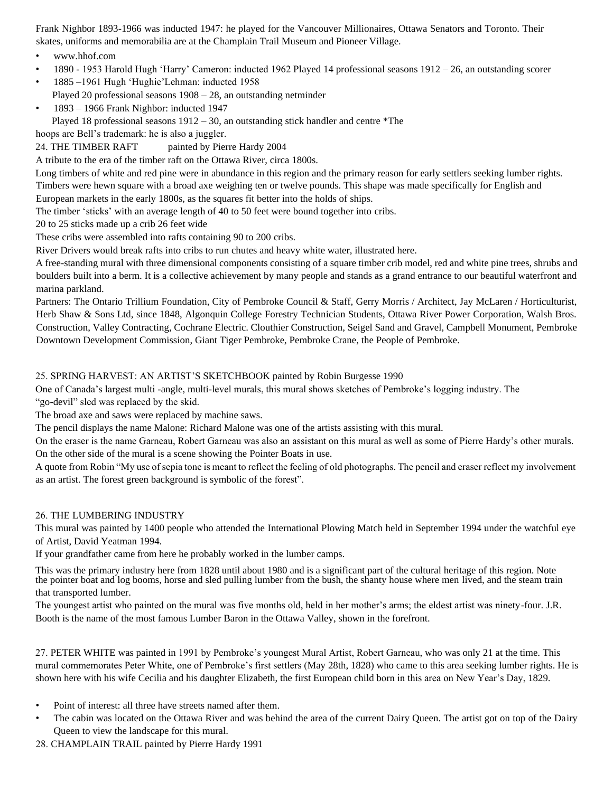Frank Nighbor 1893-1966 was inducted 1947: he played for the Vancouver Millionaires, Ottawa Senators and Toronto. Their skates, uniforms and memorabilia are at the Champlain Trail Museum and Pioneer Village.

- www.hhof.com
- 1890 1953 Harold Hugh 'Harry' Cameron: inducted 1962 Played 14 professional seasons 1912 26, an outstanding scorer
- 1885 –1961 Hugh 'Hughie'Lehman: inducted 1958 Played 20 professional seasons 1908 – 28, an outstanding netminder
- 1893 1966 Frank Nighbor: inducted 1947

Played 18 professional seasons  $1912 - 30$ , an outstanding stick handler and centre \*The

hoops are Bell's trademark: he is also a juggler.

24. THE TIMBER RAFT painted by Pierre Hardy 2004

# A tribute to the era of the timber raft on the Ottawa River, circa 1800s.

Long timbers of white and red pine were in abundance in this region and the primary reason for early settlers seeking lumber rights. Timbers were hewn square with a broad axe weighing ten or twelve pounds. This shape was made specifically for English and

European markets in the early 1800s, as the squares fit better into the holds of ships.

The timber 'sticks' with an average length of 40 to 50 feet were bound together into cribs.

20 to 25 sticks made up a crib 26 feet wide

These cribs were assembled into rafts containing 90 to 200 cribs.

River Drivers would break rafts into cribs to run chutes and heavy white water, illustrated here.

A free-standing mural with three dimensional components consisting of a square timber crib model, red and white pine trees, shrubs and boulders built into a berm. It is a collective achievement by many people and stands as a grand entrance to our beautiful waterfront and marina parkland.

Partners: The Ontario Trillium Foundation, City of Pembroke Council & Staff, Gerry Morris / Architect, Jay McLaren / Horticulturist, Herb Shaw & Sons Ltd, since 1848, Algonquin College Forestry Technician Students, Ottawa River Power Corporation, Walsh Bros. Construction, Valley Contracting, Cochrane Electric. Clouthier Construction, Seigel Sand and Gravel, Campbell Monument, Pembroke Downtown Development Commission, Giant Tiger Pembroke, Pembroke Crane, the People of Pembroke.

# 25. SPRING HARVEST: AN ARTIST'S SKETCHBOOK painted by Robin Burgesse 1990

One of Canada's largest multi -angle, multi-level murals, this mural shows sketches of Pembroke's logging industry. The "go-devil" sled was replaced by the skid.

The broad axe and saws were replaced by machine saws.

The pencil displays the name Malone: Richard Malone was one of the artists assisting with this mural.

On the eraser is the name Garneau, Robert Garneau was also an assistant on this mural as well as some of Pierre Hardy's other murals. On the other side of the mural is a scene showing the Pointer Boats in use.

A quote from Robin "My use of sepia tone is meant to reflect the feeling of old photographs. The pencil and eraser reflect my involvement as an artist. The forest green background is symbolic of the forest".

# 26. THE LUMBERING INDUSTRY

This mural was painted by 1400 people who attended the International Plowing Match held in September 1994 under the watchful eye of Artist, David Yeatman 1994.

If your grandfather came from here he probably worked in the lumber camps.

This was the primary industry here from 1828 until about 1980 and is a significant part of the cultural heritage of this region. Note the pointer boat and log booms, horse and sled pulling lumber from the bush, the shanty house where men lived, and the steam train that transported lumber.

The youngest artist who painted on the mural was five months old, held in her mother's arms; the eldest artist was ninety-four. J.R. Booth is the name of the most famous Lumber Baron in the Ottawa Valley, shown in the forefront.

27. PETER WHITE was painted in 1991 by Pembroke's youngest Mural Artist, Robert Garneau, who was only 21 at the time. This mural commemorates Peter White, one of Pembroke's first settlers (May 28th, 1828) who came to this area seeking lumber rights. He is shown here with his wife Cecilia and his daughter Elizabeth, the first European child born in this area on New Year's Day, 1829.

- Point of interest: all three have streets named after them.
- The cabin was located on the Ottawa River and was behind the area of the current Dairy Queen. The artist got on top of the Dairy Queen to view the landscape for this mural.

28. CHAMPLAIN TRAIL painted by Pierre Hardy 1991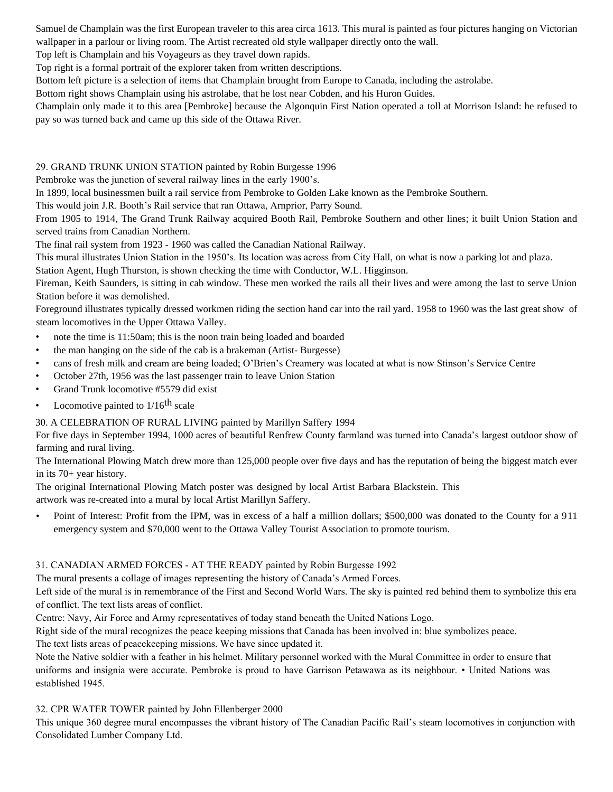Samuel de Champlain was the first European traveler to this area circa 1613. This mural is painted as four pictures hanging on Victorian wallpaper in a parlour or living room. The Artist recreated old style wallpaper directly onto the wall.

Top left is Champlain and his Voyageurs as they travel down rapids.

Top right is a formal portrait of the explorer taken from written descriptions.

Bottom left picture is a selection of items that Champlain brought from Europe to Canada, including the astrolabe.

Bottom right shows Champlain using his astrolabe, that he lost near Cobden, and his Huron Guides.

Champlain only made it to this area [Pembroke] because the Algonquin First Nation operated a toll at Morrison Island: he refused to pay so was turned back and came up this side of the Ottawa River.

29. GRAND TRUNK UNION STATION painted by Robin Burgesse 1996

Pembroke was the junction of several railway lines in the early 1900's.

In 1899, local businessmen built a rail service from Pembroke to Golden Lake known as the Pembroke Southern.

This would join J.R. Booth's Rail service that ran Ottawa, Arnprior, Parry Sound.

From 1905 to 1914, The Grand Trunk Railway acquired Booth Rail, Pembroke Southern and other lines; it built Union Station and served trains from Canadian Northern.

The final rail system from 1923 - 1960 was called the Canadian National Railway.

This mural illustrates Union Station in the 1950's. Its location was across from City Hall, on what is now a parking lot and plaza.

Station Agent, Hugh Thurston, is shown checking the time with Conductor, W.L. Higginson.

Fireman, Keith Saunders, is sitting in cab window. These men worked the rails all their lives and were among the last to serve Union Station before it was demolished.

Foreground illustrates typically dressed workmen riding the section hand car into the rail yard. 1958 to 1960 was the last great show of steam locomotives in the Upper Ottawa Valley.

- note the time is 11:50am; this is the noon train being loaded and boarded
- the man hanging on the side of the cab is a brakeman (Artist- Burgesse)
- cans of fresh milk and cream are being loaded; O'Brien's Creamery was located at what is now Stinson's Service Centre
- October 27th, 1956 was the last passenger train to leave Union Station
- Grand Trunk locomotive #5579 did exist
- Locomotive painted to  $1/16$ <sup>th</sup> scale

# 30. A CELEBRATION OF RURAL LIVING painted by Marillyn Saffery 1994

For five days in September 1994, 1000 acres of beautiful Renfrew County farmland was turned into Canada's largest outdoor show of farming and rural living.

The International Plowing Match drew more than 125,000 people over five days and has the reputation of being the biggest match ever in its 70+ year history.

The original International Plowing Match poster was designed by local Artist Barbara Blackstein. This artwork was re-created into a mural by local Artist Marillyn Saffery.

• Point of Interest: Profit from the IPM, was in excess of a half a million dollars; \$500,000 was donated to the County for a 911 emergency system and \$70,000 went to the Ottawa Valley Tourist Association to promote tourism.

# 31. CANADIAN ARMED FORCES - AT THE READY painted by Robin Burgesse 1992

The mural presents a collage of images representing the history of Canada's Armed Forces.

Left side of the mural is in remembrance of the First and Second World Wars. The sky is painted red behind them to symbolize this era of conflict. The text lists areas of conflict.

Centre: Navy, Air Force and Army representatives of today stand beneath the United Nations Logo.

Right side of the mural recognizes the peace keeping missions that Canada has been involved in: blue symbolizes peace.

The text lists areas of peacekeeping missions. We have since updated it.

Note the Native soldier with a feather in his helmet. Military personnel worked with the Mural Committee in order to ensure that uniforms and insignia were accurate. Pembroke is proud to have Garrison Petawawa as its neighbour. • United Nations was established 1945.

32. CPR WATER TOWER painted by John Ellenberger 2000

This unique 360 degree mural encompasses the vibrant history of The Canadian Pacific Rail's steam locomotives in conjunction with Consolidated Lumber Company Ltd.